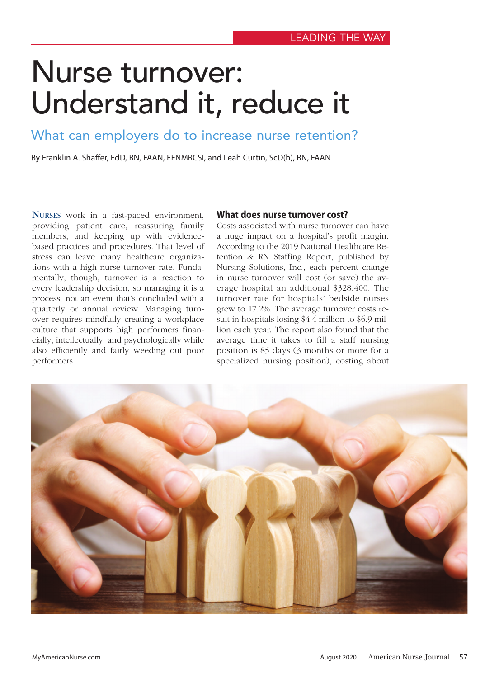# Nurse turnover: Understand it, reduce it

What can employers do to increase nurse retention?

By Franklin A. Shaffer, EdD, RN, FAAN, FFNMRCSI, and Leah Curtin, ScD(h), RN, FAAN

NURSES work in a fast-paced environment, providing patient care, reassuring family members, and keeping up with evidencebased practices and procedures. That level of stress can leave many healthcare organizations with a high nurse turnover rate. Fundamentally, though, turnover is a reaction to every leadership decision, so managing it is a process, not an event that's concluded with a quarterly or annual review. Managing turnover requires mindfully creating a workplace culture that supports high performers financially, intellectually, and psychologically while also efficiently and fairly weeding out poor performers.

#### **What does nurse turnover cost?**

Costs associated with nurse turnover can have a huge impact on a hospital's profit margin. According to the 2019 National Healthcare Retention & RN Staffing Report, published by Nursing Solutions, Inc., each percent change in nurse turnover will cost (or save) the average hospital an additional \$328,400. The turnover rate for hospitals' bedside nurses grew to 17.2%. The average turnover costs result in hospitals losing \$4.4 million to \$6.9 million each year. The report also found that the average time it takes to fill a staff nursing position is 85 days (3 months or more for a specialized nursing position), costing about

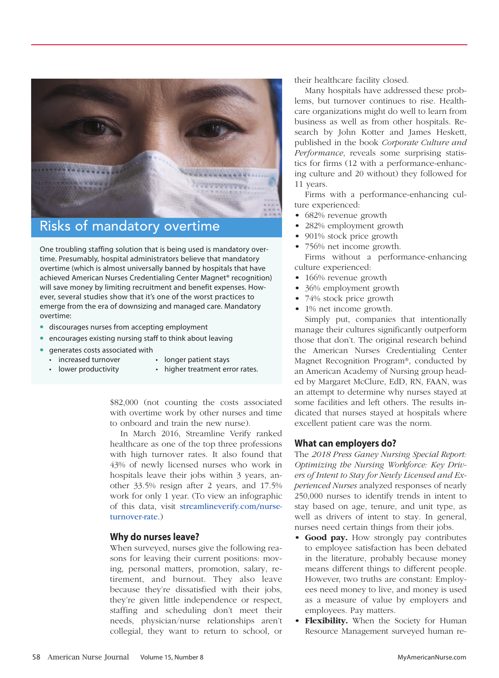

## Risks of mandatory overtime

One troubling staffing solution that is being used is mandatory overtime. Presumably, hospital administrators believe that mandatory overtime (which is almost universally banned by hospitals that have achieved American Nurses Credentialing Center Magnet® recognition) will save money by limiting recruitment and benefit expenses. However, several studies show that it's one of the worst practices to emerge from the era of downsizing and managed care. Mandatory overtime:

- **•** discourages nurses from accepting employment
- **•** encourages existing nursing staff to think about leaving
- **•** generates costs associated with
	- increased turnover longer patient stays
	- lower productivity higher treatment error rates.
- 

\$82,000 (not counting the costs associated with overtime work by other nurses and time to onboard and train the new nurse).

In March 2016, Streamline Verify ranked healthcare as one of the top three professions with high turnover rates. It also found that 43% of newly licensed nurses who work in hospitals leave their jobs within 3 years, another 33.5% resign after 2 years, and 17.5% work for only 1 y[ear. \(To view an infographic](https://www.streamlineverify.com/nurse-turnover-rate/)  [of this data,](https://www.streamlineverify.com/nurse-turnover-rate/) visit streamlineverify.com/nurseturnover-rate.)

#### **Why do nurses leave?**

When surveyed, nurses give the following reasons for leaving their current positions: moving, personal matters, promotion, salary, retirement, and burnout. They also leave because they're dissatisfied with their jobs, they're given little independence or respect, staffing and scheduling don't meet their needs, physician/nurse relationships aren't collegial, they want to return to school, or their healthcare facility closed.

Many hospitals have addressed these problems, but turnover continues to rise. Healthcare organizations might do well to learn from business as well as from other hospitals. Research by John Kotter and James Heskett, published in the book *Corporate Culture and Performance*, reveals some surprising statistics for firms (12 with a performance-enhancing culture and 20 without) they followed for 11 years.

Firms with a performance-enhancing culture experienced:

- 682% revenue growth
- 282% employment growth
- 901% stock price growth
- 756% net income growth.

Firms without a performance-enhancing culture experienced:

- 166% revenue growth
- 36% employment growth
- 74% stock price growth
- 1% net income growth.

Simply put, companies that intentionally manage their cultures significantly outperform those that don't. The original research behind the American Nurses Credentialing Center Magnet Recognition Program®, conducted by an American Academy of Nursing group headed by Margaret McClure, EdD, RN, FAAN, was an attempt to determine why nurses stayed at some facilities and left others. The results indicated that nurses stayed at hospitals where excellent patient care was the norm.

#### **What can employers do?**

The *2018 Press Ganey Nursing Special Report: Optimizing the Nursing Workforce: Key Drivers of Intent to Stay for Newly Licensed and Experienced Nurses* analyzed responses of nearly 250,000 nurses to identify trends in intent to stay based on age, tenure, and unit type, as well as drivers of intent to stay. In general, nurses need certain things from their jobs.

- **Good pay.** How strongly pay contributes to employee satisfaction has been debated in the literature, probably because money means different things to different people. However, two truths are constant: Employees need money to live, and money is used as a measure of value by employers and employees. Pay matters.
- **Flexibility.** When the Society for Human Resource Management surveyed human re-